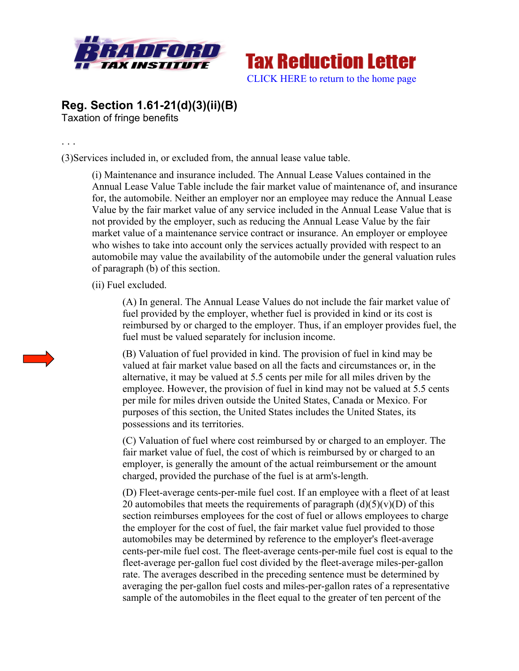



## **Reg. Section 1.61-21(d)(3)(ii)(B)**

Taxation of fringe benefits

. . .

(3)Services included in, or excluded from, the annual lease value table.

(i) Maintenance and insurance included. The Annual Lease Values contained in the Annual Lease Value Table include the fair market value of maintenance of, and insurance for, the automobile. Neither an employer nor an employee may reduce the Annual Lease Value by the fair market value of any service included in the Annual Lease Value that is not provided by the employer, such as reducing the Annual Lease Value by the fair market value of a maintenance service contract or insurance. An employer or employee who wishes to take into account only the services actually provided with respect to an automobile may value the availability of the automobile under the general valuation rules of paragraph (b) of this section.

(ii) Fuel excluded.

(A) In general. The Annual Lease Values do not include the fair market value of fuel provided by the employer, whether fuel is provided in kind or its cost is reimbursed by or charged to the employer. Thus, if an employer provides fuel, the fuel must be valued separately for inclusion income.

(B) Valuation of fuel provided in kind. The provision of fuel in kind may be valued at fair market value based on all the facts and circumstances or, in the alternative, it may be valued at 5.5 cents per mile for all miles driven by the employee. However, the provision of fuel in kind may not be valued at 5.5 cents per mile for miles driven outside the United States, Canada or Mexico. For purposes of this section, the United States includes the United States, its possessions and its territories.

(C) Valuation of fuel where cost reimbursed by or charged to an employer. The fair market value of fuel, the cost of which is reimbursed by or charged to an employer, is generally the amount of the actual reimbursement or the amount charged, provided the purchase of the fuel is at arm's-length.

(D) Fleet-average cents-per-mile fuel cost. If an employee with a fleet of at least 20 automobiles that meets the requirements of paragraph  $(d)(5)(v)(D)$  of this section reimburses employees for the cost of fuel or allows employees to charge the employer for the cost of fuel, the fair market value fuel provided to those automobiles may be determined by reference to the employer's fleet-average cents-per-mile fuel cost. The fleet-average cents-per-mile fuel cost is equal to the fleet-average per-gallon fuel cost divided by the fleet-average miles-per-gallon rate. The averages described in the preceding sentence must be determined by averaging the per-gallon fuel costs and miles-per-gallon rates of a representative sample of the automobiles in the fleet equal to the greater of ten percent of the